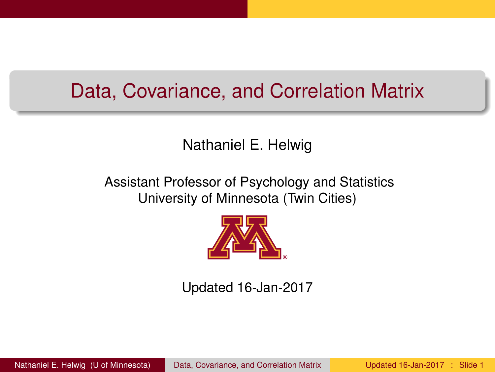### <span id="page-0-0"></span>Data, Covariance, and Correlation Matrix

### Nathaniel E. Helwig

### Assistant Professor of Psychology and Statistics University of Minnesota (Twin Cities)



### Updated 16-Jan-2017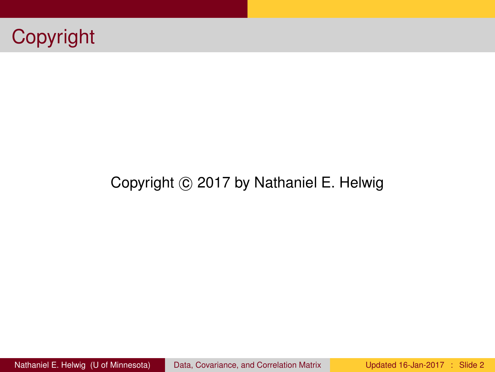

### Copyright © 2017 by Nathaniel E. Helwig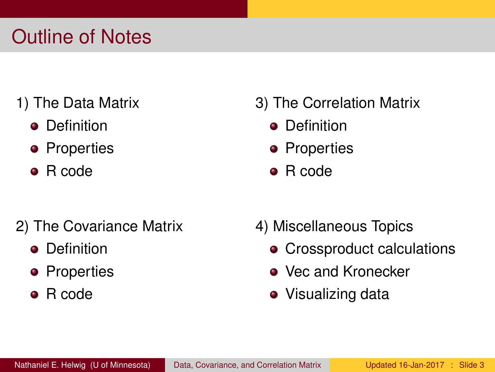## Outline of Notes

- 1) The Data Matrix
	- **•** Definition
	- Properties
	- R code
- 2) The Covariance Matrix
	- **•** Definition
	- **•** Properties
	- R code

### 3) The Correlation Matrix

- **•** Definition
- **•** Properties
- R code
- 4) Miscellaneous Topics
	- Crossproduct calculations
	- Vec and Kronecker
	- Visualizing data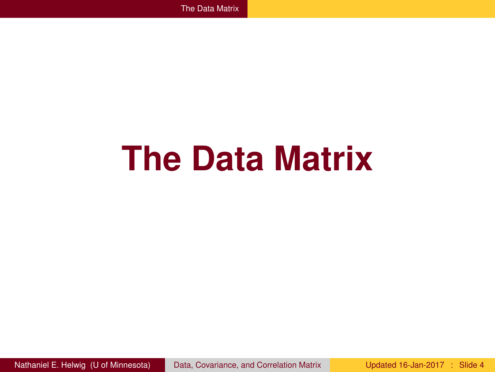# <span id="page-3-0"></span>**The Data Matrix**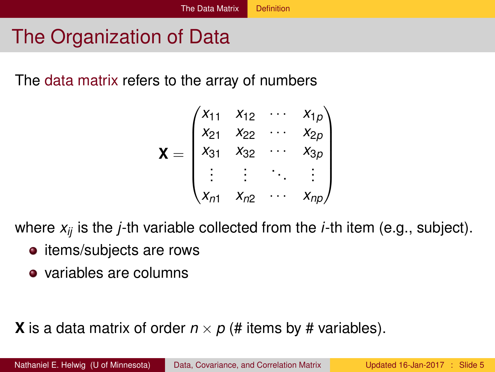### <span id="page-4-0"></span>The Organization of Data

The data matrix refers to the array of numbers

$$
\mathbf{X} = \begin{pmatrix} x_{11} & x_{12} & \cdots & x_{1p} \\ x_{21} & x_{22} & \cdots & x_{2p} \\ x_{31} & x_{32} & \cdots & x_{3p} \\ \vdots & \vdots & \ddots & \vdots \\ x_{n1} & x_{n2} & \cdots & x_{np} \end{pmatrix}
$$

where *xij* is the *j*-th variable collected from the *i*-th item (e.g., subject).

- items/subjects are rows
- variables are columns

**X** is a data matrix of order  $n \times p$  (# items by # variables).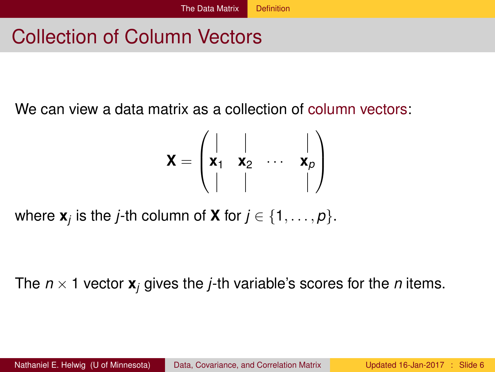## <span id="page-5-0"></span>Collection of Column Vectors

We can view a data matrix as a collection of column vectors:

$$
\mathbf{X} = \begin{pmatrix} | & | & & | \\ \mathbf{x}_1 & \mathbf{x}_2 & \cdots & \mathbf{x}_p \\ | & | & & | \end{pmatrix}
$$

where  $\mathbf{x}_j$  is the *j*-th column of  $\mathbf{X}$  for  $j \in \{1, \ldots, p\}.$ 

The  $n \times 1$  vector  $\mathbf{x}_i$  gives the *j*-th variable's scores for the *n* items.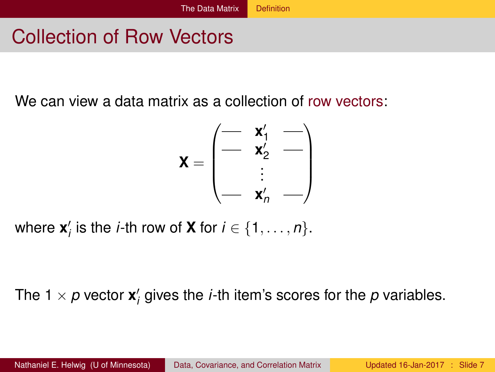# <span id="page-6-0"></span>Collection of Row Vectors

We can view a data matrix as a collection of row vectors:

$$
\mathbf{X} = \begin{pmatrix} - & \mathbf{x}_1' & - \\ - & \mathbf{x}_2' & - \\ \vdots & & \\ - & \mathbf{x}_n' & - \end{pmatrix}
$$

where  $\mathbf{x}'_i$  is the *i*-th row of **X** for  $i \in \{1, \ldots, n\}$ .

The 1  $\times$   $p$  vector  $\mathbf{x}'_i$  gives the *i*-th item's scores for the  $p$  variables.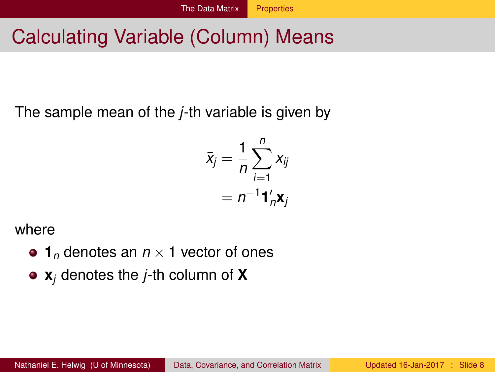## <span id="page-7-0"></span>Calculating Variable (Column) Means

The sample mean of the *j*-th variable is given by

$$
\bar{x}_j = \frac{1}{n} \sum_{i=1}^n x_{ij}
$$

$$
= n^{-1} \mathbf{1}_n' \mathbf{x}_j
$$

where

- $\bullet$  1<sub>*n*</sub> denotes an  $n \times 1$  vector of ones
- **x***<sup>j</sup>* denotes the *j*-th column of **X**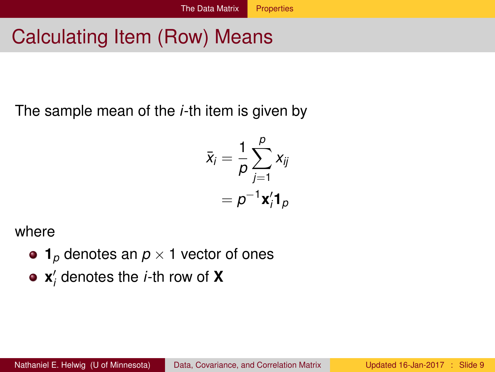# <span id="page-8-0"></span>Calculating Item (Row) Means

The sample mean of the *i*-th item is given by

$$
\bar{x}_i = \frac{1}{\rho} \sum_{j=1}^{\rho} x_{ij}
$$

$$
= \rho^{-1} \mathbf{x}'_i \mathbf{1}_{\rho}
$$

where

- $\bullet$  1<sub>*p*</sub> denotes an  $p \times 1$  vector of ones
- $\mathbf{x}'_i$  denotes the *i*-th row of  $\mathbf{X}'$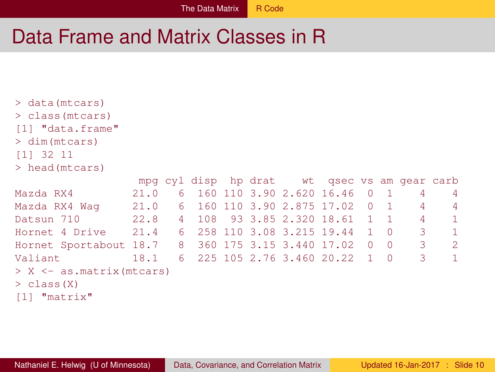### <span id="page-9-0"></span>Data Frame and Matrix Classes in R

```
> data(mtcars)
> class(mtcars)
[1] "data.frame"
> dim(mtcars)
[1] 32 11
> head(mtcars)
```

|                                                       |      |  |  |  |  |  | mpg cyl disp hp drat wt gsec vs am gear carb |  |  |                            |                |
|-------------------------------------------------------|------|--|--|--|--|--|----------------------------------------------|--|--|----------------------------|----------------|
| Mazda RX4                                             | 21.0 |  |  |  |  |  | 6 160 110 3.90 2.620 16.46 0 1 4             |  |  |                            | - 4            |
| Mazda RX4 Waq                                         |      |  |  |  |  |  | 21.0 6 160 110 3.90 2.875 17.02 0 1 4        |  |  |                            | - 4            |
| Datsun 710                                            |      |  |  |  |  |  | 22.8 4 108 93 3.85 2.320 18.61 1 1 4         |  |  |                            | $\sqrt{1}$     |
| Hornet 4 Drive 21.4 6 258 110 3.08 3.215 19.44 1 0 3  |      |  |  |  |  |  |                                              |  |  |                            | $\overline{1}$ |
| Hornet Sportabout 18.7 8 360 175 3.15 3.440 17.02 0 0 |      |  |  |  |  |  |                                              |  |  | $\overline{\phantom{a}}$ 3 | -2             |
| Valiant                                               | 18.1 |  |  |  |  |  | 6 225 105 2.76 3.460 20.22 1 0 3             |  |  |                            | $\overline{1}$ |
| $> X \le -as.matrix(mtcars)$                          |      |  |  |  |  |  |                                              |  |  |                            |                |
| $>$ class $(X)$                                       |      |  |  |  |  |  |                                              |  |  |                            |                |
|                                                       |      |  |  |  |  |  |                                              |  |  |                            |                |

[1] "matrix"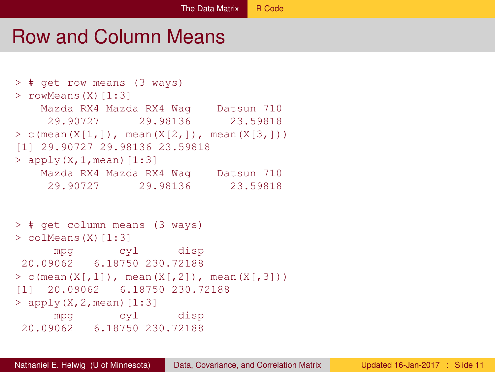### <span id="page-10-0"></span>Row and Column Means

```
> # get row means (3 ways)
> rowMeans(X)[1:3]
   Mazda RX4 Mazda RX4 Wag Datsun 710
    29.90727 29.98136 23.59818
> c(mean(X[1,]), mean(X[2,]), mean(X[3,]))
[1] 29.90727 29.98136 23.59818
> apply(X, 1, mean) [1:3]
   Mazda RX4 Mazda RX4 Wag Datsun 710
    29.90727 29.98136 23.59818
> # get column means (3 ways)
> colMeans(X)[1:3]
     mpg cyl disp
20.09062 6.18750 230.72188
> c(mean(X[,1]), mean(X[,2]), mean(X[,3]))
[1] 20.09062 6.18750 230.72188
> apply(X, 2, mean) [1:3]
     mpg cyl disp
20.09062 6.18750 230.72188
```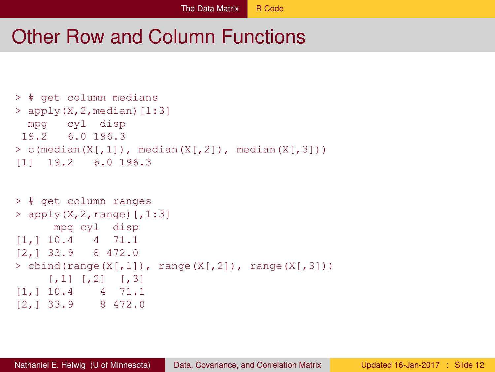### <span id="page-11-0"></span>Other Row and Column Functions

```
> # get column medians
> apply(X.2.median)[1:3]
 mpg cyl disp
19.2 6.0 196.3
> c(median(X[,1]), median(X[,2]), median(X[,3]))
[1] 19.2 6.0 196.3
```

```
> # get column ranges
> apply(X, 2, range) [, 1:3]
     mpg cyl disp
[1,] 10.4 4 71.1
[2,] 33.9 8 472.0
> cbind(range(X[,1]), range(X[,2]), range(X[,3]))
    [1, 1] [1, 2] [1, 3][1,] 10.4 4 71.1
[2,] 33.9 8 472.0
```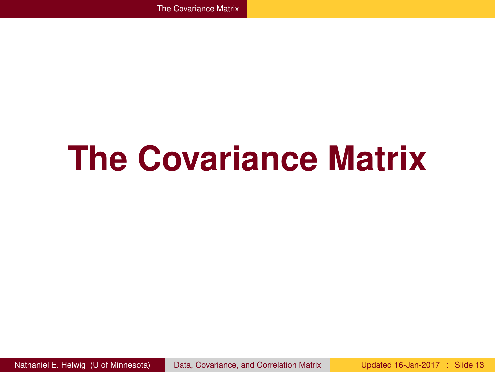# <span id="page-12-0"></span>**The Covariance Matrix**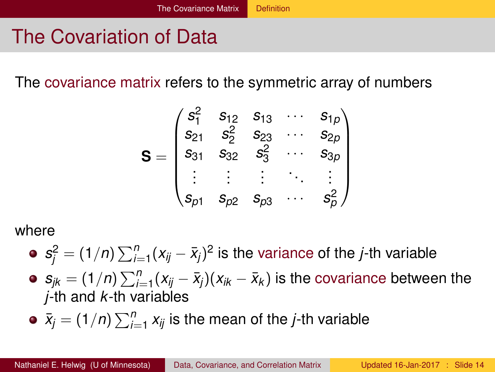# <span id="page-13-0"></span>The Covariation of Data

The covariance matrix refers to the symmetric array of numbers

$$
\mathbf{S} = \begin{pmatrix} s_1^2 & s_{12} & s_{13} & \cdots & s_{1p} \\ s_{21} & s_2^2 & s_{23} & \cdots & s_{2p} \\ s_{31} & s_{32} & s_3^2 & \cdots & s_{3p} \\ \vdots & \vdots & \vdots & \ddots & \vdots \\ s_{p1} & s_{p2} & s_{p3} & \cdots & s_p^2 \end{pmatrix}
$$

where

- $s_j^2 = (1/n) \sum_{i=1}^n (x_{ij} \bar{x}_j)^2$  is the variance of the *j*-th variable
- $s_{jk} = (1/n) \sum_{i=1}^n (x_{ij} \bar{x}_j)(x_{ik} \bar{x}_k)$  is the covariance between the *j*-th and *k*-th variables
- $\bar{x}_j = (1/n) \sum_{i=1}^n x_{ij}$  is the mean of the *j*-th variable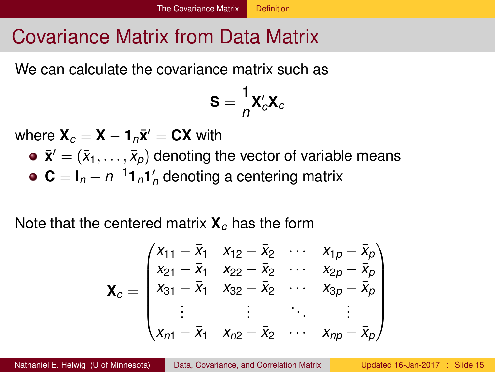### <span id="page-14-0"></span>Covariance Matrix from Data Matrix

We can calculate the covariance matrix such as

$$
\mathbf{S}=\frac{1}{n}\mathbf{X}_c'\mathbf{X}_c
$$

 $\mathbf{W}$ here  $\mathbf{X}_c = \mathbf{X} - \mathbf{1}_n \bar{\mathbf{x}}' = \mathbf{C}\mathbf{X}$  with

 $\bar{\bm{x}}' = (\bar{x}_1, \dots, \bar{x}_\rho)$  denoting the vector of variable means  $\mathbf{C} = \mathbf{I}_n - n^{-1} \mathbf{1}_n \mathbf{1}_n'$  denoting a centering matrix

Note that the centered matrix **X***<sup>c</sup>* has the form

$$
\mathbf{X}_{c} = \begin{pmatrix} x_{11} - \bar{x}_{1} & x_{12} - \bar{x}_{2} & \cdots & x_{1p} - \bar{x}_{p} \\ x_{21} - \bar{x}_{1} & x_{22} - \bar{x}_{2} & \cdots & x_{2p} - \bar{x}_{p} \\ x_{31} - \bar{x}_{1} & x_{32} - \bar{x}_{2} & \cdots & x_{3p} - \bar{x}_{p} \\ \vdots & \vdots & \ddots & \vdots \\ x_{n1} - \bar{x}_{1} & x_{n2} - \bar{x}_{2} & \cdots & x_{np} - \bar{x}_{p} \end{pmatrix}
$$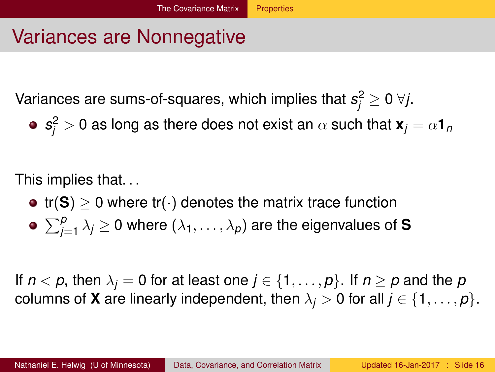## <span id="page-15-0"></span>Variances are Nonnegative

Variances are sums-of-squares, which implies that  $s_j^2 \geq 0 \; \forall j.$ 

 $\boldsymbol{s}_{j}^{2}>0$  as long as there does not exist an  $\alpha$  such that  $\boldsymbol{\mathsf{x}}_{j}=\alpha\boldsymbol{1}_{n}$ 

This implies that. . .

- $tr(S) > 0$  where  $tr(\cdot)$  denotes the matrix trace function
- $\sum_{j=1}^{\rho} \lambda_j \geq 0$  where  $(\lambda_1,\ldots,\lambda_{\rho})$  are the eigenvalues of **S**

If  $n < p$ , then  $\lambda_i = 0$  for at least one  $j \in \{1, \ldots, p\}$ . If  $n \geq p$  and the p columns of **X** are linearly independent, then  $\lambda_j > 0$  for all  $j \in \{1, \ldots, p\}$ .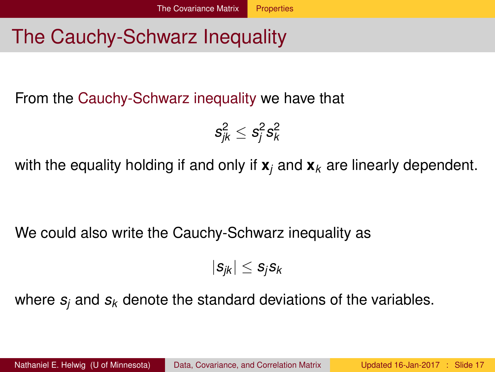## <span id="page-16-0"></span>The Cauchy-Schwarz Inequality

From the Cauchy-Schwarz inequality we have that

$$
s_{jk}^2 \leq s_j^2 s_k^2
$$

with the equality holding if and only if **x***<sup>j</sup>* and **x***<sup>k</sup>* are linearly dependent.

We could also write the Cauchy-Schwarz inequality as

$$
|s_{jk}| \leq s_j s_k
$$

where  $s_i$  and  $s_k$  denote the standard deviations of the variables.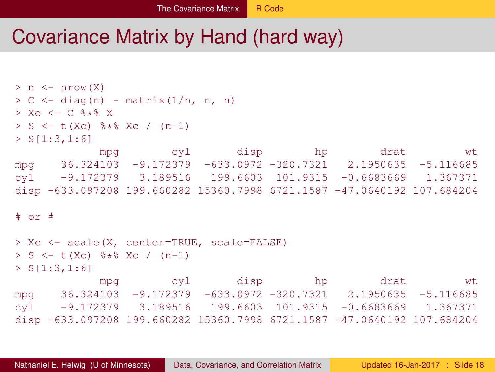### <span id="page-17-0"></span>Covariance Matrix by Hand (hard way)

```
> n \le - nrow(X)> C \le - diag(n) - matrix(1/n, n, n)
> Xc <- C * * X
> S <- t(Xc) %*% Xc / (n-1)
> S[1:3,1:6]mpg cyl disp hp drat wt
mpg 36.324103 -9.172379 -633.0972 -320.7321 2.1950635 -5.116685
cyl -9.172379 3.189516 199.6603 101.9315 -0.6683669 1.367371
disp -633.097208 199.660282 15360.7998 6721.1587 -47.0640192 107.684204
# or #
> Xc <- scale(X, center=TRUE, scale=FALSE)
> S <- t(Xc) %*% Xc / (n-1)
> S[1:3,1:6]mpg cyl disp hp drat wt
mpg 36.324103 -9.172379 -633.0972 -320.7321 2.1950635 -5.116685
cyl -9.172379 3.189516 199.6603 101.9315 -0.6683669 1.367371
disp -633.097208 199.660282 15360.7998 6721.1587 -47.0640192 107.684204
```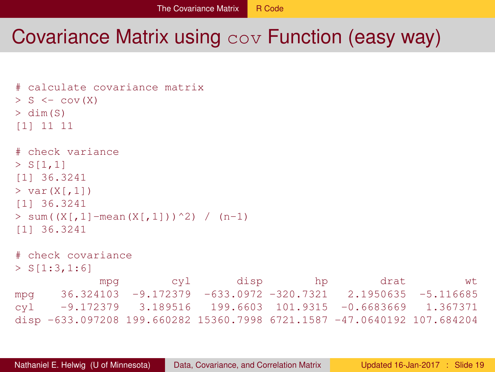### <span id="page-18-0"></span>Covariance Matrix using cov Function (easy way)

```
# calculate covariance matrix
> S \le -\text{cov}(X)> dim(S)
[1] 11 11
# check variance
> S[1,1][1] 36.3241
> var(X[,1])[1] 36.3241
> sum((X[,1]-mean(X[,1]))^2) / (n-1)
[1] 36.3241
# check covariance
> S[1:3,1:6]
            mpg cyl disp hp drat wt
mpg 36.324103 -9.172379 -633.0972 -320.7321 2.1950635 -5.116685
cyl -9.172379 3.189516 199.6603 101.9315 -0.6683669 1.367371
disp -633.097208 199.660282 15360.7998 6721.1587 -47.0640192 107.684204
```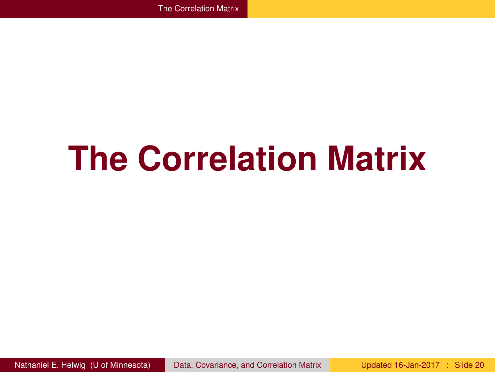# <span id="page-19-0"></span>**The Correlation Matrix**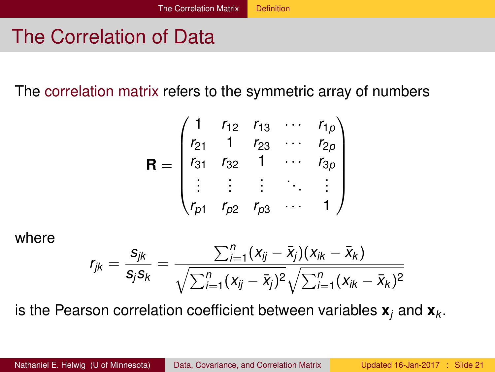## <span id="page-20-0"></span>The Correlation of Data

The correlation matrix refers to the symmetric array of numbers

$$
\mathbf{R} = \begin{pmatrix} 1 & r_{12} & r_{13} & \cdots & r_{1p} \\ r_{21} & 1 & r_{23} & \cdots & r_{2p} \\ r_{31} & r_{32} & 1 & \cdots & r_{3p} \\ \vdots & \vdots & \vdots & \ddots & \vdots \\ r_{p1} & r_{p2} & r_{p3} & \cdots & 1 \end{pmatrix}
$$

where

$$
r_{jk} = \frac{s_{jk}}{s_j s_k} = \frac{\sum_{i=1}^n (x_{ij} - \bar{x}_j)(x_{ik} - \bar{x}_k)}{\sqrt{\sum_{i=1}^n (x_{ij} - \bar{x}_j)^2} \sqrt{\sum_{i=1}^n (x_{ik} - \bar{x}_k)^2}}
$$

is the Pearson correlation coefficient between variables  $\mathbf{x}_i$  and  $\mathbf{x}_k$ .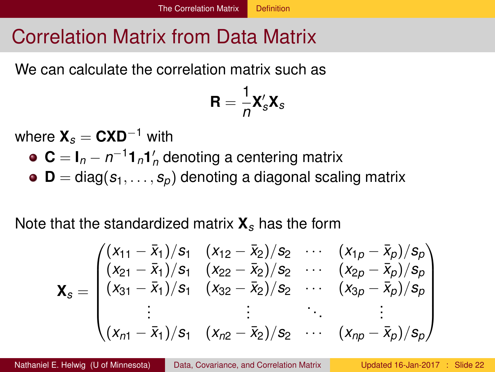## <span id="page-21-0"></span>Correlation Matrix from Data Matrix

We can calculate the correlation matrix such as

$$
\mathbf{R}=\frac{1}{n}\mathbf{X}_s'\mathbf{X}_s
$$

where **X***<sup>s</sup>* = **CXD**−<sup>1</sup> with

- $C = I_n n^{-1} \mathbf{1}_n \mathbf{1}'_n$  denoting a centering matrix
- $\bullet$  **D** = diag( $s_1, \ldots, s_p$ ) denoting a diagonal scaling matrix

Note that the standardized matrix **X***<sup>s</sup>* has the form

$$
\mathbf{X}_{s} = \begin{pmatrix} (x_{11} - \bar{x}_{1})/s_{1} & (x_{12} - \bar{x}_{2})/s_{2} & \cdots & (x_{1p} - \bar{x}_{p})/s_{p} \\ (x_{21} - \bar{x}_{1})/s_{1} & (x_{22} - \bar{x}_{2})/s_{2} & \cdots & (x_{2p} - \bar{x}_{p})/s_{p} \\ (x_{31} - \bar{x}_{1})/s_{1} & (x_{32} - \bar{x}_{2})/s_{2} & \cdots & (x_{3p} - \bar{x}_{p})/s_{p} \\ \vdots & \vdots & & \vdots \\ (x_{n1} - \bar{x}_{1})/s_{1} & (x_{n2} - \bar{x}_{2})/s_{2} & \cdots & (x_{np} - \bar{x}_{p})/s_{p} \end{pmatrix}
$$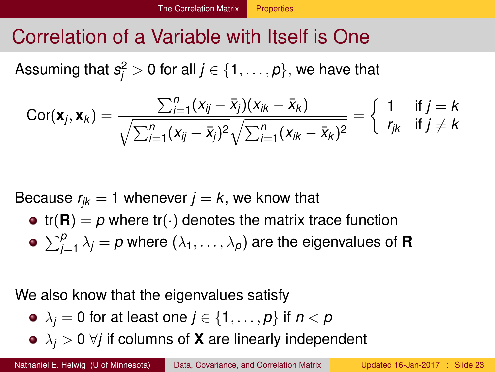## <span id="page-22-0"></span>Correlation of a Variable with Itself is One

Assuming that  $s^2_j > 0$  for all  $j \in \{1, \ldots, p\},$  we have that

$$
Cor(\mathbf{x}_j, \mathbf{x}_k) = \frac{\sum_{i=1}^n (x_{ij} - \bar{x}_j)(x_{ik} - \bar{x}_k)}{\sqrt{\sum_{i=1}^n (x_{ij} - \bar{x}_j)^2} \sqrt{\sum_{i=1}^n (x_{ik} - \bar{x}_k)^2}} = \begin{cases} 1 & \text{if } j = k \\ r_{jk} & \text{if } j \neq k \end{cases}
$$

Because  $r_{ik} = 1$  whenever  $j = k$ , we know that

•  $tr(R) = p$  where  $tr(\cdot)$  denotes the matrix trace function  $\sum_{j=1}^{\rho} \lambda_j = \rho$  where  $(\lambda_1, \ldots, \lambda_{\rho})$  are the eigenvalues of **R** 

We also know that the eigenvalues satisfy

- $\lambda_j = 0$  for at least one  $j \in \{1, \ldots, p\}$  if  $n < p$
- $\lambda_i > 0$   $\forall j$  if columns of **X** are linearly independent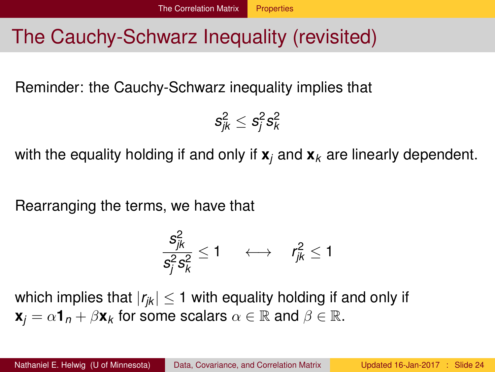### <span id="page-23-0"></span>The Cauchy-Schwarz Inequality (revisited)

Reminder: the Cauchy-Schwarz inequality implies that

$$
s_{jk}^2 \leq s_j^2 s_k^2
$$

with the equality holding if and only if **x***<sup>j</sup>* and **x***<sup>k</sup>* are linearly dependent.

Rearranging the terms, we have that

$$
\frac{s_{jk}^2}{s_j^2 s_k^2} \le 1 \quad \longleftrightarrow \quad r_{jk}^2 \le 1
$$

which implies that  $|r_{ik}| \leq 1$  with equality holding if and only if  $\mathbf{x}_i = \alpha \mathbf{1}_n + \beta \mathbf{x}_k$  for some scalars  $\alpha \in \mathbb{R}$  and  $\beta \in \mathbb{R}$ .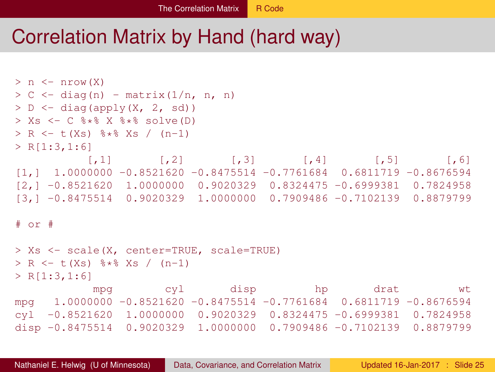### <span id="page-24-0"></span>Correlation Matrix by Hand (hard way)

```
> n \le - nrow(X)> C <- diag(n) - matrix(1/n, n, n)
> D \le diag(apply(X, 2, sd))
> Xs <- C * * * X * * solve (D)
> R \le - t(Xs) \frac{1}{2} \frac{1}{2} \frac{1}{2} \frac{1}{2} \frac{1}{2} \frac{1}{2} \frac{1}{2} \frac{1}{2} \frac{1}{2} \frac{1}{2} \frac{1}{2} \frac{1}{2} \frac{1}{2} \frac{1}{2} \frac{1}{2} \frac{1}{2} \frac{1}{2} \frac{1}{2} \frac{1}{2} \frac{1}{2} \frac{1}{2}> R[1:3,1:6][,1] [,2] [,3] [,4] [,5] [,6]
[1,1,1,0000000, -0.8521620, -0.8475514, -0.7761684, 0.6811719, -0.8676594,[2,] -0.8521620 1.0000000 0.9020329 0.8324475 -0.6999381 0.7824958
[3,] -0.8475514 0.9020329 1.0000000 0.7909486 -0.7102139 0.8879799
# or #
> Xs <- scale(X, center=TRUE, scale=TRUE)
> R \le -t (Xs) 8*8 Xs / (n-1)
> R[1:3,1:6]
              mpg cyl disp hp drat wt
mpg 1.0000000 -0.8521620 -0.8475514 -0.7761684 0.6811719 -0.8676594
cyl -0.8521620 1.0000000 0.9020329 0.8324475 -0.6999381 0.7824958
disp -0.8475514 0.9020329 1.0000000 0.7909486 -0.7102139 0.8879799
```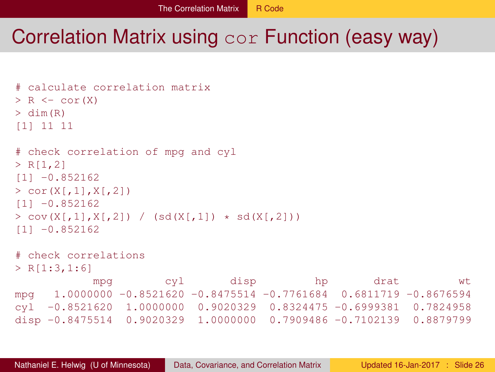### <span id="page-25-0"></span>Correlation Matrix using cor Function (easy way)

```
# calculate correlation matrix
> R \le -\text{cor}(X)> dim(R)
[1] 11 11
# check correlation of mpg and cyl
> R[1,2][11 - 0.852162]> cor(X[,1], X[,2])[1] -0.852162
> cov(X[,1], X[,2]) / (sd(X[,1]) * sd(X[,2]))[1] -0.852162
# check correlations
> R[1:3,1:6]mpg cyl disp hp drat wt
mpg 1.0000000 - 0.8521620 - 0.8475514 - 0.7761684 0.6811719 - 0.8676594cyl -0.8521620 1.0000000 0.9020329 0.8324475 -0.6999381 0.7824958
disp -0.8475514 0.9020329 1.0000000 0.7909486 -0.7102139 0.8879799
```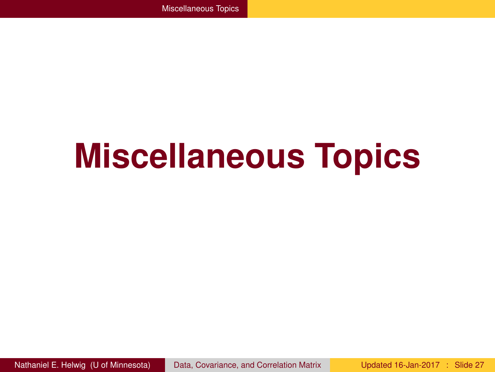# <span id="page-26-0"></span>**Miscellaneous Topics**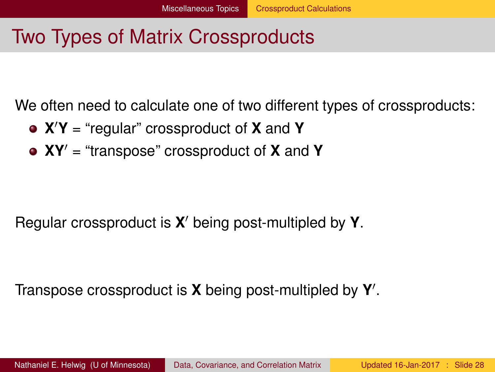### <span id="page-27-0"></span>Two Types of Matrix Crossproducts

We often need to calculate one of two different types of crossproducts:

- **X** <sup>0</sup>**Y** = "regular" crossproduct of **X** and **Y**
- **XY**<sup>0</sup> = "transpose" crossproduct of **X** and **Y**

Regular crossproduct is **X'** being post-multipled by **Y**.

Transpose crossproduct is **X** being post-multipled by **Y** 0 .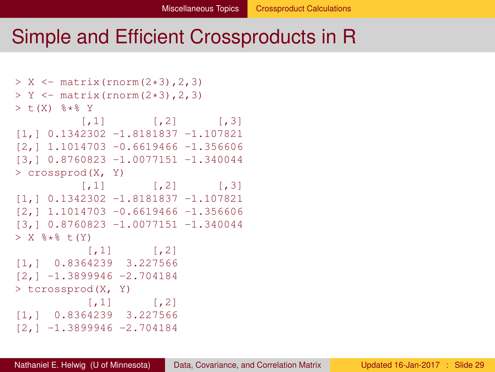### <span id="page-28-0"></span>Simple and Efficient Crossproducts in R

```
> X < - matrix(rnorm(2*3), 2, 3)
> Y < - matrix(rnorm(2*3), 2, 3)
> t(X) % * Y
         [1, 1] [1, 2] [1, 3][1,] 0.1342302 -1.8181837 -1.107821
[2,] 1.1014703 -0.6619466 -1.356606
[3,] 0.8760823 -1.0077151 -1.340044
> crossprod(X, Y)
         [, 1] [, 2] [, 3]
[1,] 0.1342302 -1.8181837 -1.107821
[2,1,1,1014703, -0.6619466, -1.356606][3,] 0.8760823 -1.0077151 -1.340044
> X * * * t(Y)[,1] [,2][1,] 0.8364239 3.227566
[2, 1 -1.3899946 -2.704184> tcrossprod(X, Y)
       [,1] [,2][1,] 0.8364239 3.227566
[2,] -1.3899946 -2.704184
```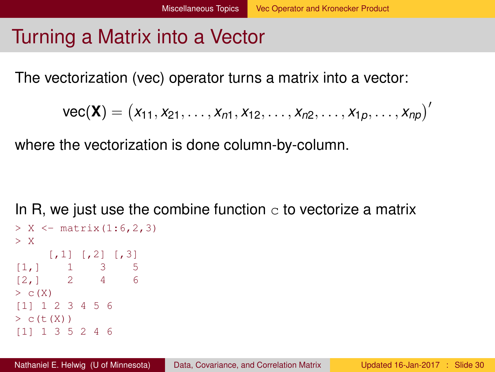### <span id="page-29-0"></span>Turning a Matrix into a Vector

The vectorization (vec) operator turns a matrix into a vector:

$$
\text{vec}(\textbf{X}) = (x_{11}, x_{21}, \ldots, x_{n1}, x_{12}, \ldots, x_{n2}, \ldots, x_{1p}, \ldots, x_{np})'
$$

where the vectorization is done column-by-column.

In R, we just use the combine function  $\infty$  to vectorize a matrix

```
> X < - matrix(1:6,2,3)
> X
    [1,1] [1,2] [1,3][1,] 1 3 5
[2,] 2 4 6
> c(X)
[1] 1 2 3 4 5 6
> c(t(X))[1] 1 3 5 2 4 6
```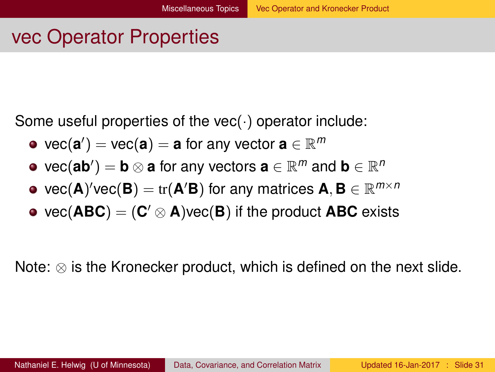### <span id="page-30-0"></span>vec Operator Properties

Some useful properties of the vec( $\cdot$ ) operator include:

- $\mathsf{vec}(\mathbf{a}') = \mathsf{vec}(\mathbf{a}) = \mathbf{a}$  for any vector  $\mathbf{a} \in \mathbb{R}^m$
- $\mathsf{vec}(\mathbf{a}\mathbf{b}') = \mathbf{b}\otimes \mathbf{a}$  for any vectors  $\mathbf{a}\in\mathbb{R}^m$  and  $\mathbf{b}\in\mathbb{R}^m$
- $\mathsf{vec}(\mathbf{A})'$ vec $(\mathbf{B}) = \mathrm{tr}(\mathbf{A}'\mathbf{B})$  for any matrices  $\mathbf{A}, \mathbf{B} \in \mathbb{R}^{m \times n}$
- $\mathsf{vec}(\mathbf{A}\mathbf{B}\mathbf{C}) = (\mathbf{C}' \otimes \mathbf{A})\mathsf{vec}(\mathbf{B})$  if the product  $\mathbf{A}\mathbf{B}\mathbf{C}$  exists

Note:  $\otimes$  is the Kronecker product, which is defined on the next slide.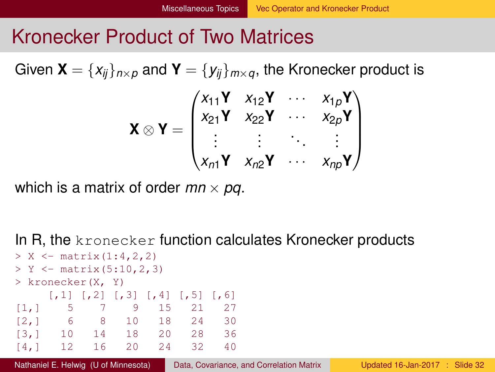### <span id="page-31-0"></span>Kronecker Product of Two Matrices

Given  $\mathbf{X} = \{x_{ii}\}_{i \in \mathbb{Z}}$  and  $\mathbf{Y} = \{y_{ii}\}_{i \in \mathbb{Z}}$ , the Kronecker product is

$$
\boldsymbol{X} \otimes \boldsymbol{Y} = \begin{pmatrix} x_{11} \boldsymbol{Y} & x_{12} \boldsymbol{Y} & \cdots & x_{1p} \boldsymbol{Y} \\ x_{21} \boldsymbol{Y} & x_{22} \boldsymbol{Y} & \cdots & x_{2p} \boldsymbol{Y} \\ \vdots & \vdots & \ddots & \vdots \\ x_{n1} \boldsymbol{Y} & x_{n2} \boldsymbol{Y} & \cdots & x_{np} \boldsymbol{Y} \end{pmatrix}
$$

which is a matrix of order  $mn \times pq$ .

In R, the kronecker function calculates Kronecker products

| > X <- matrix $(1:4, 2, 2)$                |                                                       |       |                                                                                           |          |      |    |  |  |  |  |
|--------------------------------------------|-------------------------------------------------------|-------|-------------------------------------------------------------------------------------------|----------|------|----|--|--|--|--|
| > $Y \leftarrow \text{matrix}(5:10, 2, 3)$ |                                                       |       |                                                                                           |          |      |    |  |  |  |  |
| > kronecker(X, Y)                          |                                                       |       |                                                                                           |          |      |    |  |  |  |  |
|                                            |                                                       |       | $\lbrack 1 \rbrack \rbrack \rbrack 2 \rbrack \rbrack 73 \rbrack 74 \rbrack 75 \rbrack 76$ |          |      |    |  |  |  |  |
|                                            | $\begin{bmatrix} 1 \\ 1 \end{bmatrix}$ 5 7 9 15 21 27 |       |                                                                                           |          |      |    |  |  |  |  |
|                                            | [2, 1 6 8 10 18 24 30                                 |       |                                                                                           |          |      |    |  |  |  |  |
| $\lceil 3, 1 \rceil$                       |                                                       | 10 14 |                                                                                           | 18 20 28 |      | 36 |  |  |  |  |
| [4.1]                                      | $-12$                                                 |       | 16 20                                                                                     | 2.4      | - 32 | 40 |  |  |  |  |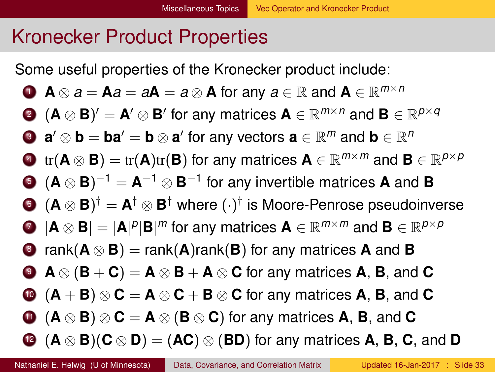### <span id="page-32-0"></span>Kronecker Product Properties

Some useful properties of the Kronecker product include:

• 
$$
A \otimes a = Aa = aA = a \otimes A
$$
 for any  $a \in \mathbb{R}$  and  $A \in \mathbb{R}^{m \times n}$ 

**(A** 
$$
\otimes
$$
 **B)**' = **A'**  $\otimes$  **B'** for any matrices **A**  $\in \mathbb{R}^{m \times n}$  and **B**  $\in \mathbb{R}^{p \times q}$ 

**9** 
$$
a' \otimes b = ba' = b \otimes a'
$$
 for any vectors  $a \in \mathbb{R}^m$  and  $b \in \mathbb{R}^n$ 

$$
\text{Let } (\mathbf{A} \otimes \mathbf{B}) = \text{tr}(\mathbf{A}) \text{tr}(\mathbf{B}) \text{ for any matrices } \mathbf{A} \in \mathbb{R}^{m \times m} \text{ and } \mathbf{B} \in \mathbb{R}^{p \times p}
$$

$$
\bullet \ \ (\mathbf{A} \otimes \mathbf{B})^{-1} = \mathbf{A}^{-1} \otimes \mathbf{B}^{-1} \text{ for any invertible matrices } \mathbf{A} \text{ and } \mathbf{B}
$$

• 
$$
(A \otimes B)^{\dagger} = A^{\dagger} \otimes B^{\dagger}
$$
 where  $(\cdot)^{\dagger}$  is Moore-Penrose pseudoinverse

**A** 
$$
\otimes
$$
 **B**| = |**A**|<sup>*p*</sup>|**B**|<sup>*m*</sup> for any matrices **A**  $\in \mathbb{R}^{m \times m}$  and **B**  $\in \mathbb{R}^{p \times p}$ 

$$
\bullet \quad \text{rank}(\mathbf{A} \otimes \mathbf{B}) = \text{rank}(\mathbf{A})\text{rank}(\mathbf{B}) \text{ for any matrices } \mathbf{A} \text{ and } \mathbf{B}
$$

• 
$$
A \otimes (B + C) = A \otimes B + A \otimes C
$$
 for any matrices A, B, and C

$$
\bullet \ (A + B) \otimes C = A \otimes C + B \otimes C \text{ for any matrices } A, B, \text{ and } C
$$

$$
\bullet \ (A\otimes B)\otimes C = A\otimes (B\otimes C) \text{ for any matrices } A, B, \text{ and } C
$$

$$
\textbf{(A} \otimes \textbf{B}) (\textbf{C} \otimes \textbf{D}) = (\textbf{AC}) \otimes (\textbf{BD}) \text{ for any matrices } \textbf{A}, \textbf{B}, \textbf{C}, \text{ and } \textbf{D}
$$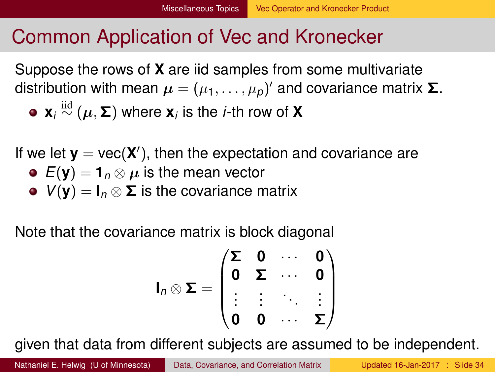### <span id="page-33-0"></span>Common Application of Vec and Kronecker

Suppose the rows of **X** are iid samples from some multivariate distribution with mean  $\boldsymbol{\mu}=(\mu_1,\ldots,\mu_p)'$  and covariance matrix **Σ**.  $\mathbf{x}_i \stackrel{\mathrm{iid}}{\sim} (\boldsymbol{\mu}, \boldsymbol{\Sigma})$  where  $\mathbf{x}_i$  is the *i*-th row of  $\mathbf{X}_i$ 

If we let  $y = \text{vec}(X')$ , then the expectation and covariance are

- $E(\mathbf{y}) = \mathbf{1}_n \otimes \mu$  is the mean vector
- $V(y) = I_n \otimes \Sigma$  is the covariance matrix

Note that the covariance matrix is block diagonal

$$
I_n \otimes \Sigma = \begin{pmatrix} \Sigma & 0 & \cdots & 0 \\ 0 & \Sigma & \cdots & 0 \\ \vdots & \vdots & \ddots & \vdots \\ 0 & 0 & \cdots & \Sigma \end{pmatrix}
$$

given that data from different subjects are assumed to be independent.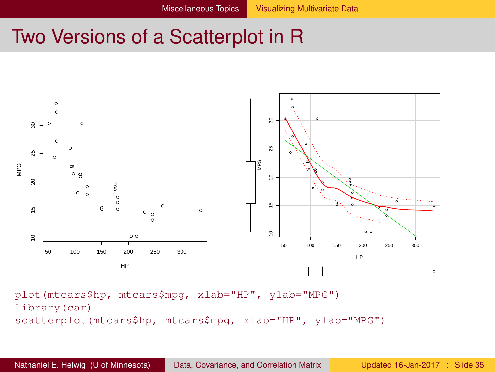### <span id="page-34-0"></span>Two Versions of a Scatterplot in R



plot(mtcars\$hp, mtcars\$mpg, xlab="HP", ylab="MPG") library(car) scatterplot(mtcars\$hp, mtcars\$mpg, xlab="HP", ylab="MPG")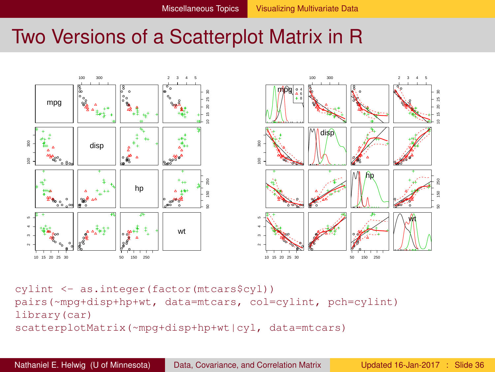### <span id="page-35-0"></span>Two Versions of a Scatterplot Matrix in R



cylint <- as.integer(factor(mtcars\$cyl)) pairs(~mpg+disp+hp+wt, data=mtcars, col=cylint, pch=cylint) library(car) scatterplotMatrix(~mpg+disp+hp+wt|cyl, data=mtcars)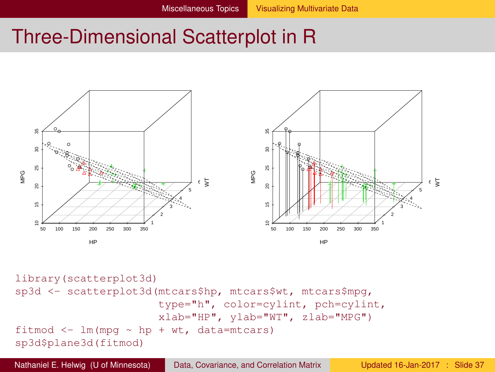### <span id="page-36-0"></span>Three-Dimensional Scatterplot in R



```
library(scatterplot3d)
sp3d <- scatterplot3d(mtcars$hp, mtcars$wt, mtcars$mpg,
                      type="h", color=cylint, pch=cylint,
                       xlab="HP", ylab="WT", zlab="MPG")
fitmod \leq lm(mpq \sim hp + wt, data=mtcars)
sp3d$plane3d(fitmod)
```
Nathaniel E. Helwig (U of Minnesota) [Data, Covariance, and Correlation Matrix](#page-0-0) Updated 16-Jan-2017 : Slide 37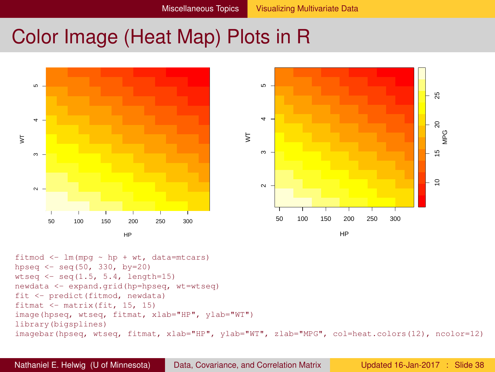### <span id="page-37-0"></span>Color Image (Heat Map) Plots in R





fitmod  $\leq$  lm(mpg  $\sim$  hp + wt, data=mtcars) hpseq <- seq(50, 330, by=20) wtseq  $\leq$  seq(1.5, 5.4, length=15) newdata <- expand.grid(hp=hpseq, wt=wtseq) fit <- predict(fitmod, newdata) fitmat <- matrix(fit, 15, 15) image(hpseq, wtseq, fitmat, xlab="HP", ylab="WT") library(bigsplines) imagebar(hpseq, wtseq, fitmat, xlab="HP", ylab="WT", zlab="MPG", col=heat.colors(12), ncolor=12)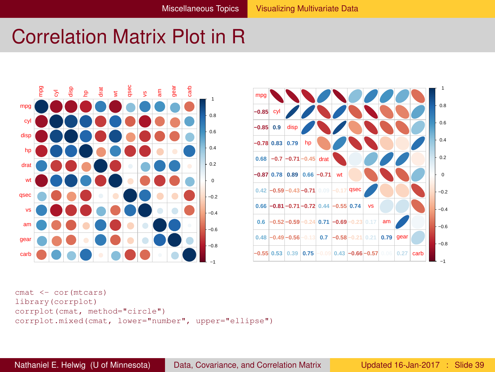### <span id="page-38-0"></span>Correlation Matrix Plot in R





```
cmat <- cor(mtcars)
library(corrplot)
corrplot(cmat, method="circle")
corrplot.mixed(cmat, lower="number", upper="ellipse")
```